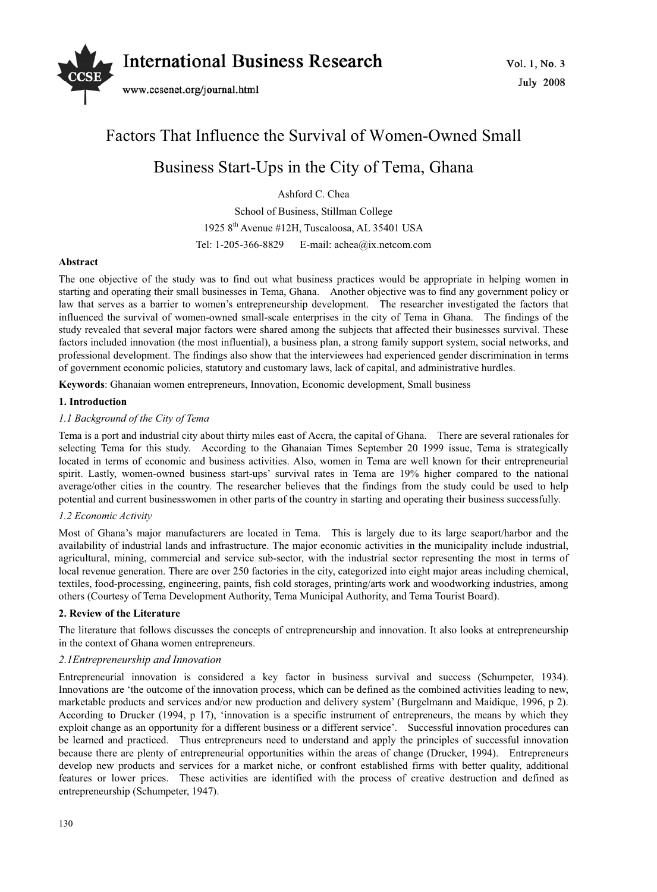

# Factors That Influence the Survival of Women-Owned Small Business Start-Ups in the City of Tema, Ghana

Ashford C. Chea

School of Business, Stillman College 1925 8th Avenue #12H, Tuscaloosa, AL 35401 USA Tel: 1-205-366-8829 E-mail: achea@ix.netcom.com

#### **Abstract**

The one objective of the study was to find out what business practices would be appropriate in helping women in starting and operating their small businesses in Tema, Ghana. Another objective was to find any government policy or law that serves as a barrier to women's entrepreneurship development. The researcher investigated the factors that influenced the survival of women-owned small-scale enterprises in the city of Tema in Ghana. The findings of the study revealed that several major factors were shared among the subjects that affected their businesses survival. These factors included innovation (the most influential), a business plan, a strong family support system, social networks, and professional development. The findings also show that the interviewees had experienced gender discrimination in terms of government economic policies, statutory and customary laws, lack of capital, and administrative hurdles.

**Keywords**: Ghanaian women entrepreneurs, Innovation, Economic development, Small business

#### **1. Introduction**

#### *1.1 Background of the City of Tema*

Tema is a port and industrial city about thirty miles east of Accra, the capital of Ghana. There are several rationales for selecting Tema for this study. According to the Ghanaian Times September 20 1999 issue, Tema is strategically located in terms of economic and business activities. Also, women in Tema are well known for their entrepreneurial spirit. Lastly, women-owned business start-ups' survival rates in Tema are 19% higher compared to the national average/other cities in the country. The researcher believes that the findings from the study could be used to help potential and current businesswomen in other parts of the country in starting and operating their business successfully.

#### *1.2 Economic Activity*

Most of Ghana's major manufacturers are located in Tema. This is largely due to its large seaport/harbor and the availability of industrial lands and infrastructure. The major economic activities in the municipality include industrial, agricultural, mining, commercial and service sub-sector, with the industrial sector representing the most in terms of local revenue generation. There are over 250 factories in the city, categorized into eight major areas including chemical, textiles, food-processing, engineering, paints, fish cold storages, printing/arts work and woodworking industries, among others (Courtesy of Tema Development Authority, Tema Municipal Authority, and Tema Tourist Board).

#### **2. Review of the Literature**

The literature that follows discusses the concepts of entrepreneurship and innovation. It also looks at entrepreneurship in the context of Ghana women entrepreneurs.

#### *2.1Entrepreneurship and Innovation*

Entrepreneurial innovation is considered a key factor in business survival and success (Schumpeter, 1934). Innovations are 'the outcome of the innovation process, which can be defined as the combined activities leading to new, marketable products and services and/or new production and delivery system' (Burgelmann and Maidique, 1996, p 2). According to Drucker (1994, p 17), 'innovation is a specific instrument of entrepreneurs, the means by which they exploit change as an opportunity for a different business or a different service'. Successful innovation procedures can be learned and practiced. Thus entrepreneurs need to understand and apply the principles of successful innovation because there are plenty of entrepreneurial opportunities within the areas of change (Drucker, 1994). Entrepreneurs develop new products and services for a market niche, or confront established firms with better quality, additional features or lower prices. These activities are identified with the process of creative destruction and defined as entrepreneurship (Schumpeter, 1947).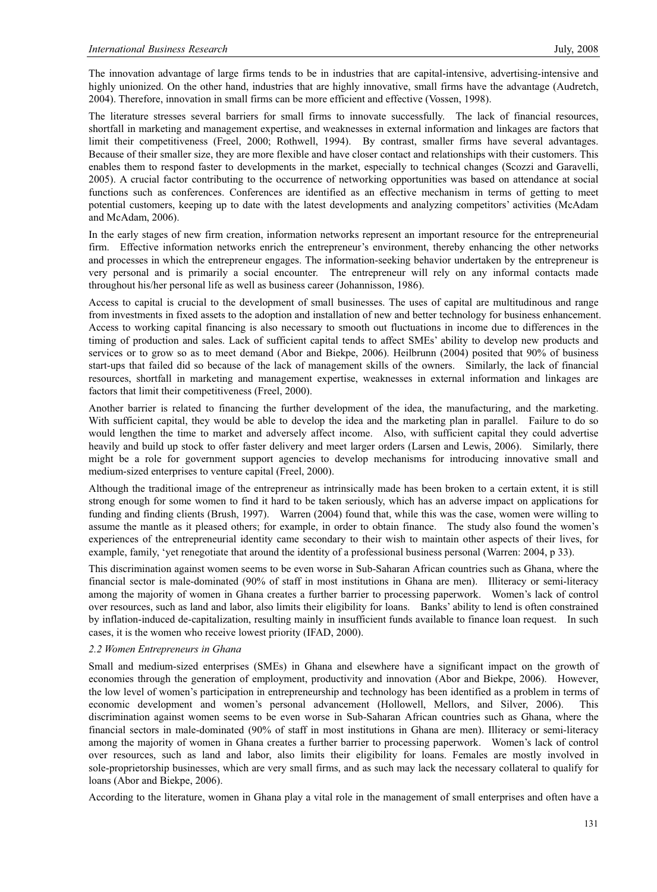The innovation advantage of large firms tends to be in industries that are capital-intensive, advertising-intensive and highly unionized. On the other hand, industries that are highly innovative, small firms have the advantage (Audretch, 2004). Therefore, innovation in small firms can be more efficient and effective (Vossen, 1998).

The literature stresses several barriers for small firms to innovate successfully. The lack of financial resources, shortfall in marketing and management expertise, and weaknesses in external information and linkages are factors that limit their competitiveness (Freel, 2000; Rothwell, 1994). By contrast, smaller firms have several advantages. Because of their smaller size, they are more flexible and have closer contact and relationships with their customers. This enables them to respond faster to developments in the market, especially to technical changes (Scozzi and Garavelli, 2005). A crucial factor contributing to the occurrence of networking opportunities was based on attendance at social functions such as conferences. Conferences are identified as an effective mechanism in terms of getting to meet potential customers, keeping up to date with the latest developments and analyzing competitors' activities (McAdam and McAdam, 2006).

In the early stages of new firm creation, information networks represent an important resource for the entrepreneurial firm. Effective information networks enrich the entrepreneur's environment, thereby enhancing the other networks and processes in which the entrepreneur engages. The information-seeking behavior undertaken by the entrepreneur is very personal and is primarily a social encounter. The entrepreneur will rely on any informal contacts made throughout his/her personal life as well as business career (Johannisson, 1986).

Access to capital is crucial to the development of small businesses. The uses of capital are multitudinous and range from investments in fixed assets to the adoption and installation of new and better technology for business enhancement. Access to working capital financing is also necessary to smooth out fluctuations in income due to differences in the timing of production and sales. Lack of sufficient capital tends to affect SMEs' ability to develop new products and services or to grow so as to meet demand (Abor and Biekpe, 2006). Heilbrunn (2004) posited that 90% of business start-ups that failed did so because of the lack of management skills of the owners. Similarly, the lack of financial resources, shortfall in marketing and management expertise, weaknesses in external information and linkages are factors that limit their competitiveness (Freel, 2000).

Another barrier is related to financing the further development of the idea, the manufacturing, and the marketing. With sufficient capital, they would be able to develop the idea and the marketing plan in parallel. Failure to do so would lengthen the time to market and adversely affect income. Also, with sufficient capital they could advertise heavily and build up stock to offer faster delivery and meet larger orders (Larsen and Lewis, 2006). Similarly, there might be a role for government support agencies to develop mechanisms for introducing innovative small and medium-sized enterprises to venture capital (Freel, 2000).

Although the traditional image of the entrepreneur as intrinsically made has been broken to a certain extent, it is still strong enough for some women to find it hard to be taken seriously, which has an adverse impact on applications for funding and finding clients (Brush, 1997). Warren (2004) found that, while this was the case, women were willing to assume the mantle as it pleased others; for example, in order to obtain finance. The study also found the women's experiences of the entrepreneurial identity came secondary to their wish to maintain other aspects of their lives, for example, family, 'yet renegotiate that around the identity of a professional business personal (Warren: 2004, p 33).

This discrimination against women seems to be even worse in Sub-Saharan African countries such as Ghana, where the financial sector is male-dominated (90% of staff in most institutions in Ghana are men). Illiteracy or semi-literacy among the majority of women in Ghana creates a further barrier to processing paperwork. Women's lack of control over resources, such as land and labor, also limits their eligibility for loans. Banks' ability to lend is often constrained by inflation-induced de-capitalization, resulting mainly in insufficient funds available to finance loan request. In such cases, it is the women who receive lowest priority (IFAD, 2000).

#### *2.2 Women Entrepreneurs in Ghana*

Small and medium-sized enterprises (SMEs) in Ghana and elsewhere have a significant impact on the growth of economies through the generation of employment, productivity and innovation (Abor and Biekpe, 2006). However, the low level of women's participation in entrepreneurship and technology has been identified as a problem in terms of economic development and women's personal advancement (Hollowell, Mellors, and Silver, 2006). discrimination against women seems to be even worse in Sub-Saharan African countries such as Ghana, where the financial sectors in male-dominated (90% of staff in most institutions in Ghana are men). Illiteracy or semi-literacy among the majority of women in Ghana creates a further barrier to processing paperwork. Women's lack of control over resources, such as land and labor, also limits their eligibility for loans. Females are mostly involved in sole-proprietorship businesses, which are very small firms, and as such may lack the necessary collateral to qualify for loans (Abor and Biekpe, 2006).

According to the literature, women in Ghana play a vital role in the management of small enterprises and often have a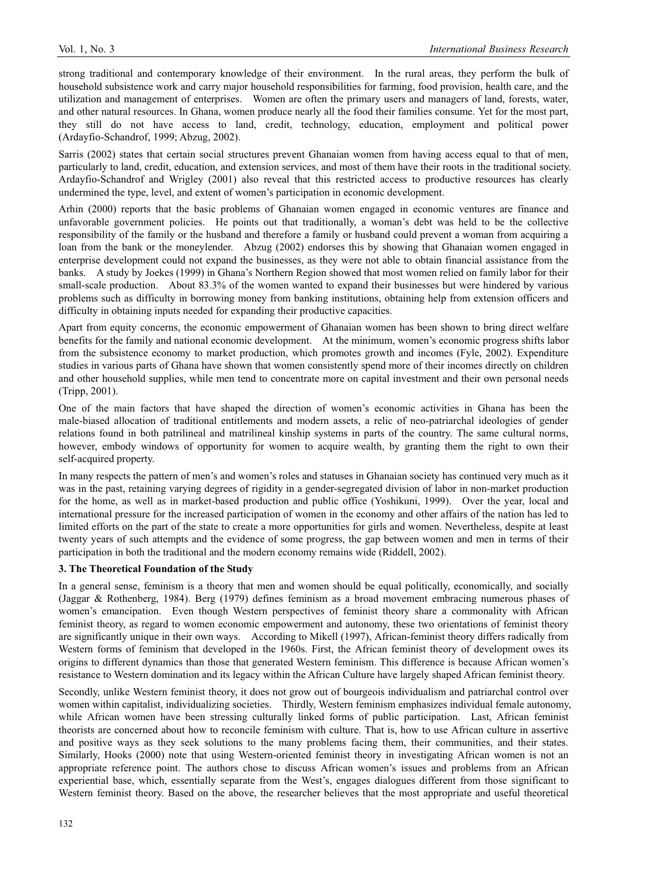strong traditional and contemporary knowledge of their environment. In the rural areas, they perform the bulk of household subsistence work and carry major household responsibilities for farming, food provision, health care, and the utilization and management of enterprises. Women are often the primary users and managers of land, forests, water, and other natural resources. In Ghana, women produce nearly all the food their families consume. Yet for the most part, they still do not have access to land, credit, technology, education, employment and political power (Ardayfio-Schandrof, 1999; Abzug, 2002).

Sarris (2002) states that certain social structures prevent Ghanaian women from having access equal to that of men, particularly to land, credit, education, and extension services, and most of them have their roots in the traditional society. Ardayfio-Schandrof and Wrigley (2001) also reveal that this restricted access to productive resources has clearly undermined the type, level, and extent of women's participation in economic development.

Arhin (2000) reports that the basic problems of Ghanaian women engaged in economic ventures are finance and unfavorable government policies. He points out that traditionally, a woman's debt was held to be the collective responsibility of the family or the husband and therefore a family or husband could prevent a woman from acquiring a loan from the bank or the moneylender. Abzug (2002) endorses this by showing that Ghanaian women engaged in enterprise development could not expand the businesses, as they were not able to obtain financial assistance from the banks. A study by Joekes (1999) in Ghana's Northern Region showed that most women relied on family labor for their small-scale production. About 83.3% of the women wanted to expand their businesses but were hindered by various problems such as difficulty in borrowing money from banking institutions, obtaining help from extension officers and difficulty in obtaining inputs needed for expanding their productive capacities.

Apart from equity concerns, the economic empowerment of Ghanaian women has been shown to bring direct welfare benefits for the family and national economic development. At the minimum, women's economic progress shifts labor from the subsistence economy to market production, which promotes growth and incomes (Fyle, 2002). Expenditure studies in various parts of Ghana have shown that women consistently spend more of their incomes directly on children and other household supplies, while men tend to concentrate more on capital investment and their own personal needs (Tripp, 2001).

One of the main factors that have shaped the direction of women's economic activities in Ghana has been the male-biased allocation of traditional entitlements and modern assets, a relic of neo-patriarchal ideologies of gender relations found in both patrilineal and matrilineal kinship systems in parts of the country. The same cultural norms, however, embody windows of opportunity for women to acquire wealth, by granting them the right to own their self-acquired property.

In many respects the pattern of men's and women's roles and statuses in Ghanaian society has continued very much as it was in the past, retaining varying degrees of rigidity in a gender-segregated division of labor in non-market production for the home, as well as in market-based production and public office (Yoshikuni, 1999). Over the year, local and international pressure for the increased participation of women in the economy and other affairs of the nation has led to limited efforts on the part of the state to create a more opportunities for girls and women. Nevertheless, despite at least twenty years of such attempts and the evidence of some progress, the gap between women and men in terms of their participation in both the traditional and the modern economy remains wide (Riddell, 2002).

#### **3. The Theoretical Foundation of the Study**

In a general sense, feminism is a theory that men and women should be equal politically, economically, and socially (Jaggar & Rothenberg, 1984). Berg (1979) defines feminism as a broad movement embracing numerous phases of women's emancipation. Even though Western perspectives of feminist theory share a commonality with African feminist theory, as regard to women economic empowerment and autonomy, these two orientations of feminist theory are significantly unique in their own ways. According to Mikell (1997), African-feminist theory differs radically from Western forms of feminism that developed in the 1960s. First, the African feminist theory of development owes its origins to different dynamics than those that generated Western feminism. This difference is because African women's resistance to Western domination and its legacy within the African Culture have largely shaped African feminist theory.

Secondly, unlike Western feminist theory, it does not grow out of bourgeois individualism and patriarchal control over women within capitalist, individualizing societies. Thirdly, Western feminism emphasizes individual female autonomy, while African women have been stressing culturally linked forms of public participation. Last, African feminist theorists are concerned about how to reconcile feminism with culture. That is, how to use African culture in assertive and positive ways as they seek solutions to the many problems facing them, their communities, and their states. Similarly, Hooks (2000) note that using Western-oriented feminist theory in investigating African women is not an appropriate reference point. The authors chose to discuss African women's issues and problems from an African experiential base, which, essentially separate from the West's, engages dialogues different from those significant to Western feminist theory. Based on the above, the researcher believes that the most appropriate and useful theoretical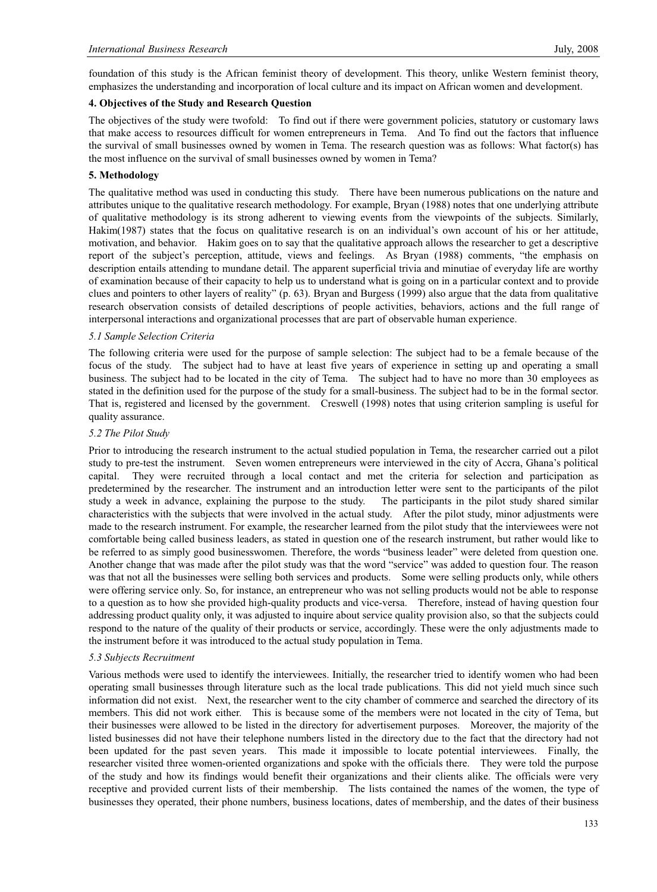foundation of this study is the African feminist theory of development. This theory, unlike Western feminist theory, emphasizes the understanding and incorporation of local culture and its impact on African women and development.

#### **4. Objectives of the Study and Research Question**

The objectives of the study were twofold: To find out if there were government policies, statutory or customary laws that make access to resources difficult for women entrepreneurs in Tema. And To find out the factors that influence the survival of small businesses owned by women in Tema. The research question was as follows: What factor(s) has the most influence on the survival of small businesses owned by women in Tema?

#### **5. Methodology**

The qualitative method was used in conducting this study. There have been numerous publications on the nature and attributes unique to the qualitative research methodology. For example, Bryan (1988) notes that one underlying attribute of qualitative methodology is its strong adherent to viewing events from the viewpoints of the subjects. Similarly, Hakim(1987) states that the focus on qualitative research is on an individual's own account of his or her attitude, motivation, and behavior. Hakim goes on to say that the qualitative approach allows the researcher to get a descriptive report of the subject's perception, attitude, views and feelings. As Bryan (1988) comments, "the emphasis on description entails attending to mundane detail. The apparent superficial trivia and minutiae of everyday life are worthy of examination because of their capacity to help us to understand what is going on in a particular context and to provide clues and pointers to other layers of reality" (p. 63). Bryan and Burgess (1999) also argue that the data from qualitative research observation consists of detailed descriptions of people activities, behaviors, actions and the full range of interpersonal interactions and organizational processes that are part of observable human experience.

#### *5.1 Sample Selection Criteria*

The following criteria were used for the purpose of sample selection: The subject had to be a female because of the focus of the study. The subject had to have at least five years of experience in setting up and operating a small business. The subject had to be located in the city of Tema. The subject had to have no more than 30 employees as stated in the definition used for the purpose of the study for a small-business. The subject had to be in the formal sector. That is, registered and licensed by the government. Creswell (1998) notes that using criterion sampling is useful for quality assurance.

#### *5.2 The Pilot Study*

Prior to introducing the research instrument to the actual studied population in Tema, the researcher carried out a pilot study to pre-test the instrument. Seven women entrepreneurs were interviewed in the city of Accra, Ghana's political capital. They were recruited through a local contact and met the criteria for selection and participation as predetermined by the researcher. The instrument and an introduction letter were sent to the participants of the pilot study a week in advance, explaining the purpose to the study. The participants in the pilot study shared similar characteristics with the subjects that were involved in the actual study. After the pilot study, minor adjustments were made to the research instrument. For example, the researcher learned from the pilot study that the interviewees were not comfortable being called business leaders, as stated in question one of the research instrument, but rather would like to be referred to as simply good businesswomen. Therefore, the words "business leader" were deleted from question one. Another change that was made after the pilot study was that the word "service" was added to question four. The reason was that not all the businesses were selling both services and products. Some were selling products only, while others were offering service only. So, for instance, an entrepreneur who was not selling products would not be able to response to a question as to how she provided high-quality products and vice-versa. Therefore, instead of having question four addressing product quality only, it was adjusted to inquire about service quality provision also, so that the subjects could respond to the nature of the quality of their products or service, accordingly. These were the only adjustments made to the instrument before it was introduced to the actual study population in Tema.

#### *5.3 Subjects Recruitment*

Various methods were used to identify the interviewees. Initially, the researcher tried to identify women who had been operating small businesses through literature such as the local trade publications. This did not yield much since such information did not exist. Next, the researcher went to the city chamber of commerce and searched the directory of its members. This did not work either. This is because some of the members were not located in the city of Tema, but their businesses were allowed to be listed in the directory for advertisement purposes. Moreover, the majority of the listed businesses did not have their telephone numbers listed in the directory due to the fact that the directory had not been updated for the past seven years. This made it impossible to locate potential interviewees. Finally, the researcher visited three women-oriented organizations and spoke with the officials there. They were told the purpose of the study and how its findings would benefit their organizations and their clients alike. The officials were very receptive and provided current lists of their membership. The lists contained the names of the women, the type of businesses they operated, their phone numbers, business locations, dates of membership, and the dates of their business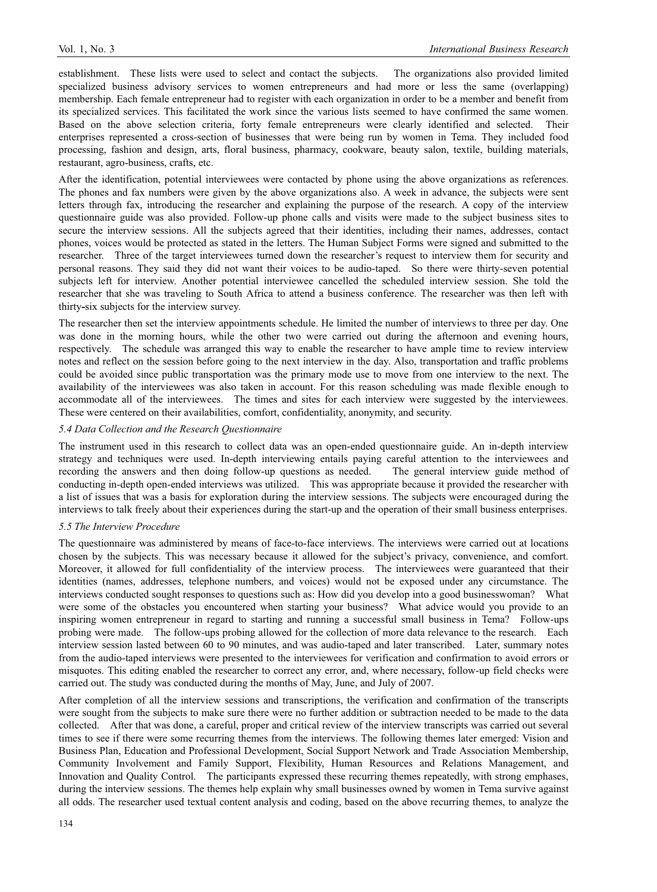establishment. These lists were used to select and contact the subjects. The organizations also provided limited specialized business advisory services to women entrepreneurs and had more or less the same (overlapping) membership. Each female entrepreneur had to register with each organization in order to be a member and benefit from its specialized services. This facilitated the work since the various lists seemed to have confirmed the same women. Based on the above selection criteria, forty female entrepreneurs were clearly identified and selected. Their enterprises represented a cross-section of businesses that were being run by women in Tema. They included food processing, fashion and design, arts, floral business, pharmacy, cookware, beauty salon, textile, building materials, restaurant, agro-business, crafts, etc.

After the identification, potential interviewees were contacted by phone using the above organizations as references. The phones and fax numbers were given by the above organizations also. A week in advance, the subjects were sent letters through fax, introducing the researcher and explaining the purpose of the research. A copy of the interview questionnaire guide was also provided. Follow-up phone calls and visits were made to the subject business sites to secure the interview sessions. All the subjects agreed that their identities, including their names, addresses, contact phones, voices would be protected as stated in the letters. The Human Subject Forms were signed and submitted to the researcher. Three of the target interviewees turned down the researcher's request to interview them for security and personal reasons. They said they did not want their voices to be audio-taped. So there were thirty-seven potential subjects left for interview. Another potential interviewee cancelled the scheduled interview session. She told the researcher that she was traveling to South Africa to attend a business conference. The researcher was then left with thirty**-**six subjects for the interview survey.

The researcher then set the interview appointments schedule. He limited the number of interviews to three per day. One was done in the morning hours, while the other two were carried out during the afternoon and evening hours, respectively. The schedule was arranged this way to enable the researcher to have ample time to review interview notes and reflect on the session before going to the next interview in the day. Also, transportation and traffic problems could be avoided since public transportation was the primary mode use to move from one interview to the next. The availability of the interviewees was also taken in account. For this reason scheduling was made flexible enough to accommodate all of the interviewees. The times and sites for each interview were suggested by the interviewees. These were centered on their availabilities, comfort, confidentiality, anonymity, and security.

#### *5.4 Data Collection and the Research Questionnaire*

The instrument used in this research to collect data was an open-ended questionnaire guide. An in-depth interview strategy and techniques were used. In-depth interviewing entails paying careful attention to the interviewees and recording the answers and then doing follow-up questions as needed. The general interview guide method of conducting in-depth open-ended interviews was utilized. This was appropriate because it provided the researcher with a list of issues that was a basis for exploration during the interview sessions. The subjects were encouraged during the interviews to talk freely about their experiences during the start-up and the operation of their small business enterprises.

#### *5.5 The Interview Procedure*

The questionnaire was administered by means of face-to-face interviews. The interviews were carried out at locations chosen by the subjects. This was necessary because it allowed for the subject's privacy, convenience, and comfort. Moreover, it allowed for full confidentiality of the interview process. The interviewees were guaranteed that their identities (names, addresses, telephone numbers, and voices) would not be exposed under any circumstance. The interviews conducted sought responses to questions such as: How did you develop into a good businesswoman? What were some of the obstacles you encountered when starting your business? What advice would you provide to an inspiring women entrepreneur in regard to starting and running a successful small business in Tema? Follow-ups probing were made. The follow-ups probing allowed for the collection of more data relevance to the research. Each interview session lasted between 60 to 90 minutes, and was audio-taped and later transcribed. Later, summary notes from the audio-taped interviews were presented to the interviewees for verification and confirmation to avoid errors or misquotes. This editing enabled the researcher to correct any error, and, where necessary, follow-up field checks were carried out. The study was conducted during the months of May, June, and July of 2007.

After completion of all the interview sessions and transcriptions, the verification and confirmation of the transcripts were sought from the subjects to make sure there were no further addition or subtraction needed to be made to the data collected. After that was done, a careful, proper and critical review of the interview transcripts was carried out several times to see if there were some recurring themes from the interviews. The following themes later emerged: Vision and Business Plan, Education and Professional Development, Social Support Network and Trade Association Membership, Community Involvement and Family Support, Flexibility, Human Resources and Relations Management, and Innovation and Quality Control. The participants expressed these recurring themes repeatedly, with strong emphases, during the interview sessions. The themes help explain why small businesses owned by women in Tema survive against all odds. The researcher used textual content analysis and coding, based on the above recurring themes, to analyze the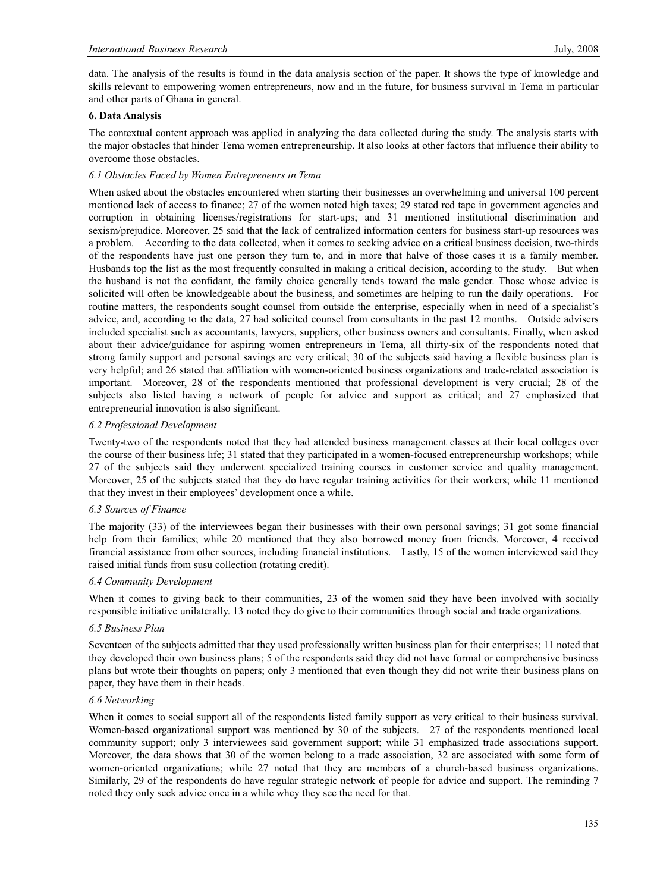data. The analysis of the results is found in the data analysis section of the paper. It shows the type of knowledge and skills relevant to empowering women entrepreneurs, now and in the future, for business survival in Tema in particular and other parts of Ghana in general.

#### **6. Data Analysis**

The contextual content approach was applied in analyzing the data collected during the study. The analysis starts with the major obstacles that hinder Tema women entrepreneurship. It also looks at other factors that influence their ability to overcome those obstacles.

#### *6.1 Obstacles Faced by Women Entrepreneurs in Tema*

When asked about the obstacles encountered when starting their businesses an overwhelming and universal 100 percent mentioned lack of access to finance; 27 of the women noted high taxes; 29 stated red tape in government agencies and corruption in obtaining licenses/registrations for start-ups; and 31 mentioned institutional discrimination and sexism/prejudice. Moreover, 25 said that the lack of centralized information centers for business start-up resources was a problem. According to the data collected, when it comes to seeking advice on a critical business decision, two-thirds of the respondents have just one person they turn to, and in more that halve of those cases it is a family member. Husbands top the list as the most frequently consulted in making a critical decision, according to the study. But when the husband is not the confidant, the family choice generally tends toward the male gender. Those whose advice is solicited will often be knowledgeable about the business, and sometimes are helping to run the daily operations. For routine matters, the respondents sought counsel from outside the enterprise, especially when in need of a specialist's advice, and, according to the data, 27 had solicited counsel from consultants in the past 12 months. Outside advisers included specialist such as accountants, lawyers, suppliers, other business owners and consultants. Finally, when asked about their advice/guidance for aspiring women entrepreneurs in Tema, all thirty-six of the respondents noted that strong family support and personal savings are very critical; 30 of the subjects said having a flexible business plan is very helpful; and 26 stated that affiliation with women-oriented business organizations and trade-related association is important. Moreover, 28 of the respondents mentioned that professional development is very crucial; 28 of the subjects also listed having a network of people for advice and support as critical; and 27 emphasized that entrepreneurial innovation is also significant.

#### *6.2 Professional Development*

Twenty-two of the respondents noted that they had attended business management classes at their local colleges over the course of their business life; 31 stated that they participated in a women-focused entrepreneurship workshops; while 27 of the subjects said they underwent specialized training courses in customer service and quality management. Moreover, 25 of the subjects stated that they do have regular training activities for their workers; while 11 mentioned that they invest in their employees' development once a while.

#### *6.3 Sources of Finance*

The majority (33) of the interviewees began their businesses with their own personal savings; 31 got some financial help from their families; while 20 mentioned that they also borrowed money from friends. Moreover, 4 received financial assistance from other sources, including financial institutions. Lastly, 15 of the women interviewed said they raised initial funds from susu collection (rotating credit).

#### *6.4 Community Development*

When it comes to giving back to their communities, 23 of the women said they have been involved with socially responsible initiative unilaterally. 13 noted they do give to their communities through social and trade organizations.

#### *6.5 Business Plan*

Seventeen of the subjects admitted that they used professionally written business plan for their enterprises; 11 noted that they developed their own business plans; 5 of the respondents said they did not have formal or comprehensive business plans but wrote their thoughts on papers; only 3 mentioned that even though they did not write their business plans on paper, they have them in their heads.

#### *6.6 Networking*

When it comes to social support all of the respondents listed family support as very critical to their business survival. Women-based organizational support was mentioned by 30 of the subjects. 27 of the respondents mentioned local community support; only 3 interviewees said government support; while 31 emphasized trade associations support. Moreover, the data shows that 30 of the women belong to a trade association, 32 are associated with some form of women-oriented organizations; while 27 noted that they are members of a church-based business organizations. Similarly, 29 of the respondents do have regular strategic network of people for advice and support. The reminding 7 noted they only seek advice once in a while whey they see the need for that.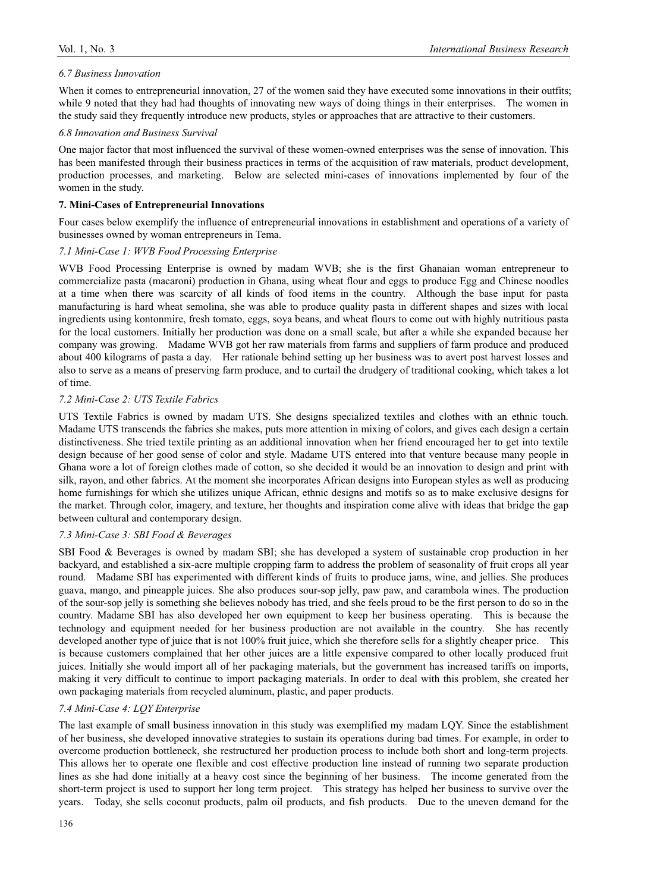#### *6.7 Business Innovation*

When it comes to entrepreneurial innovation, 27 of the women said they have executed some innovations in their outfits; while 9 noted that they had had thoughts of innovating new ways of doing things in their enterprises. The women in the study said they frequently introduce new products, styles or approaches that are attractive to their customers.

#### *6.8 Innovation and Business Survival*

One major factor that most influenced the survival of these women-owned enterprises was the sense of innovation. This has been manifested through their business practices in terms of the acquisition of raw materials, product development, production processes, and marketing. Below are selected mini-cases of innovations implemented by four of the women in the study.

#### **7. Mini-Cases of Entrepreneurial Innovations**

Four cases below exemplify the influence of entrepreneurial innovations in establishment and operations of a variety of businesses owned by woman entrepreneurs in Tema.

#### *7.1 Mini-Case 1: WVB Food Processing Enterprise*

WVB Food Processing Enterprise is owned by madam WVB; she is the first Ghanaian woman entrepreneur to commercialize pasta (macaroni) production in Ghana, using wheat flour and eggs to produce Egg and Chinese noodles at a time when there was scarcity of all kinds of food items in the country. Although the base input for pasta manufacturing is hard wheat semolina, she was able to produce quality pasta in different shapes and sizes with local ingredients using kontonmire, fresh tomato, eggs, soya beans, and wheat flours to come out with highly nutritious pasta for the local customers. Initially her production was done on a small scale, but after a while she expanded because her company was growing. Madame WVB got her raw materials from farms and suppliers of farm produce and produced about 400 kilograms of pasta a day. Her rationale behind setting up her business was to avert post harvest losses and also to serve as a means of preserving farm produce, and to curtail the drudgery of traditional cooking, which takes a lot of time.

#### *7.2 Mini-Case 2: UTS Textile Fabrics*

UTS Textile Fabrics is owned by madam UTS. She designs specialized textiles and clothes with an ethnic touch. Madame UTS transcends the fabrics she makes, puts more attention in mixing of colors, and gives each design a certain distinctiveness. She tried textile printing as an additional innovation when her friend encouraged her to get into textile design because of her good sense of color and style. Madame UTS entered into that venture because many people in Ghana wore a lot of foreign clothes made of cotton, so she decided it would be an innovation to design and print with silk, rayon, and other fabrics. At the moment she incorporates African designs into European styles as well as producing home furnishings for which she utilizes unique African, ethnic designs and motifs so as to make exclusive designs for the market. Through color, imagery, and texture, her thoughts and inspiration come alive with ideas that bridge the gap between cultural and contemporary design.

#### *7.3 Mini-Case 3: SBI Food & Beverages*

SBI Food & Beverages is owned by madam SBI; she has developed a system of sustainable crop production in her backyard, and established a six-acre multiple cropping farm to address the problem of seasonality of fruit crops all year round. Madame SBI has experimented with different kinds of fruits to produce jams, wine, and jellies. She produces guava, mango, and pineapple juices. She also produces sour-sop jelly, paw paw, and carambola wines. The production of the sour-sop jelly is something she believes nobody has tried, and she feels proud to be the first person to do so in the country. Madame SBI has also developed her own equipment to keep her business operating. This is because the technology and equipment needed for her business production are not available in the country. She has recently developed another type of juice that is not 100% fruit juice, which she therefore sells for a slightly cheaper price. This is because customers complained that her other juices are a little expensive compared to other locally produced fruit juices. Initially she would import all of her packaging materials, but the government has increased tariffs on imports, making it very difficult to continue to import packaging materials. In order to deal with this problem, she created her own packaging materials from recycled aluminum, plastic, and paper products.

## *7.4 Mini-Case 4: LQY Enterprise*

The last example of small business innovation in this study was exemplified my madam LQY. Since the establishment of her business, she developed innovative strategies to sustain its operations during bad times. For example, in order to overcome production bottleneck, she restructured her production process to include both short and long-term projects. This allows her to operate one flexible and cost effective production line instead of running two separate production lines as she had done initially at a heavy cost since the beginning of her business. The income generated from the short-term project is used to support her long term project. This strategy has helped her business to survive over the years. Today, she sells coconut products, palm oil products, and fish products. Due to the uneven demand for the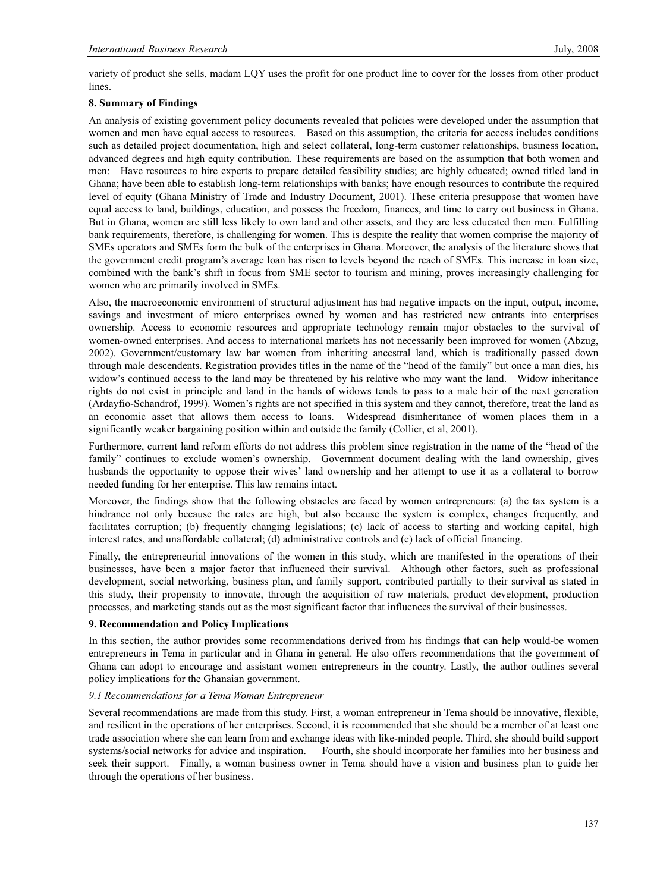variety of product she sells, madam LQY uses the profit for one product line to cover for the losses from other product lines.

#### **8. Summary of Findings**

An analysis of existing government policy documents revealed that policies were developed under the assumption that women and men have equal access to resources. Based on this assumption, the criteria for access includes conditions such as detailed project documentation, high and select collateral, long-term customer relationships, business location, advanced degrees and high equity contribution. These requirements are based on the assumption that both women and men: Have resources to hire experts to prepare detailed feasibility studies; are highly educated; owned titled land in Ghana; have been able to establish long-term relationships with banks; have enough resources to contribute the required level of equity (Ghana Ministry of Trade and Industry Document, 2001). These criteria presuppose that women have equal access to land, buildings, education, and possess the freedom, finances, and time to carry out business in Ghana. But in Ghana, women are still less likely to own land and other assets, and they are less educated then men. Fulfilling bank requirements, therefore, is challenging for women. This is despite the reality that women comprise the majority of SMEs operators and SMEs form the bulk of the enterprises in Ghana. Moreover, the analysis of the literature shows that the government credit program's average loan has risen to levels beyond the reach of SMEs. This increase in loan size, combined with the bank's shift in focus from SME sector to tourism and mining, proves increasingly challenging for women who are primarily involved in SMEs.

Also, the macroeconomic environment of structural adjustment has had negative impacts on the input, output, income, savings and investment of micro enterprises owned by women and has restricted new entrants into enterprises ownership. Access to economic resources and appropriate technology remain major obstacles to the survival of women-owned enterprises. And access to international markets has not necessarily been improved for women (Abzug, 2002). Government/customary law bar women from inheriting ancestral land, which is traditionally passed down through male descendents. Registration provides titles in the name of the "head of the family" but once a man dies, his widow's continued access to the land may be threatened by his relative who may want the land. Widow inheritance rights do not exist in principle and land in the hands of widows tends to pass to a male heir of the next generation (Ardayfio-Schandrof, 1999). Women's rights are not specified in this system and they cannot, therefore, treat the land as an economic asset that allows them access to loans. Widespread disinheritance of women places them in a significantly weaker bargaining position within and outside the family (Collier, et al, 2001).

Furthermore, current land reform efforts do not address this problem since registration in the name of the "head of the family" continues to exclude women's ownership. Government document dealing with the land ownership, gives husbands the opportunity to oppose their wives' land ownership and her attempt to use it as a collateral to borrow needed funding for her enterprise. This law remains intact.

Moreover, the findings show that the following obstacles are faced by women entrepreneurs: (a) the tax system is a hindrance not only because the rates are high, but also because the system is complex, changes frequently, and facilitates corruption; (b) frequently changing legislations; (c) lack of access to starting and working capital, high interest rates, and unaffordable collateral; (d) administrative controls and (e) lack of official financing.

Finally, the entrepreneurial innovations of the women in this study, which are manifested in the operations of their businesses, have been a major factor that influenced their survival. Although other factors, such as professional development, social networking, business plan, and family support, contributed partially to their survival as stated in this study, their propensity to innovate, through the acquisition of raw materials, product development, production processes, and marketing stands out as the most significant factor that influences the survival of their businesses.

#### **9. Recommendation and Policy Implications**

In this section, the author provides some recommendations derived from his findings that can help would-be women entrepreneurs in Tema in particular and in Ghana in general. He also offers recommendations that the government of Ghana can adopt to encourage and assistant women entrepreneurs in the country. Lastly, the author outlines several policy implications for the Ghanaian government.

#### *9.1 Recommendations for a Tema Woman Entrepreneur*

Several recommendations are made from this study. First, a woman entrepreneur in Tema should be innovative, flexible, and resilient in the operations of her enterprises. Second, it is recommended that she should be a member of at least one trade association where she can learn from and exchange ideas with like-minded people. Third, she should build support systems/social networks for advice and inspiration. Fourth, she should incorporate her families into her business and seek their support. Finally, a woman business owner in Tema should have a vision and business plan to guide her through the operations of her business.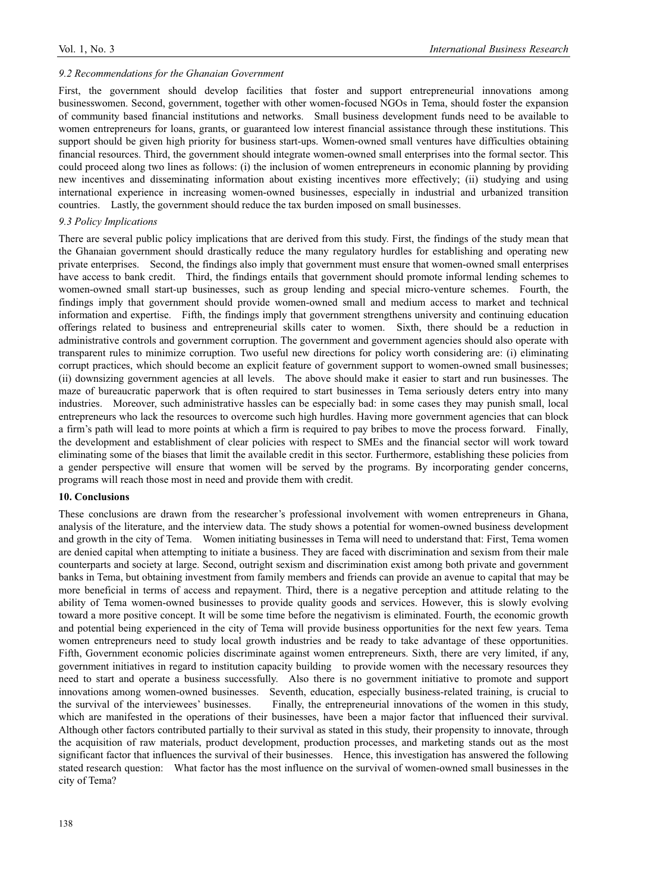#### *9.2 Recommendations for the Ghanaian Government*

First, the government should develop facilities that foster and support entrepreneurial innovations among businesswomen. Second, government, together with other women-focused NGOs in Tema, should foster the expansion of community based financial institutions and networks. Small business development funds need to be available to women entrepreneurs for loans, grants, or guaranteed low interest financial assistance through these institutions. This support should be given high priority for business start-ups. Women-owned small ventures have difficulties obtaining financial resources. Third, the government should integrate women-owned small enterprises into the formal sector. This could proceed along two lines as follows: (i) the inclusion of women entrepreneurs in economic planning by providing new incentives and disseminating information about existing incentives more effectively; (ii) studying and using international experience in increasing women-owned businesses, especially in industrial and urbanized transition countries. Lastly, the government should reduce the tax burden imposed on small businesses.

#### *9.3 Policy Implications*

There are several public policy implications that are derived from this study. First, the findings of the study mean that the Ghanaian government should drastically reduce the many regulatory hurdles for establishing and operating new private enterprises. Second, the findings also imply that government must ensure that women-owned small enterprises have access to bank credit. Third, the findings entails that government should promote informal lending schemes to women-owned small start-up businesses, such as group lending and special micro-venture schemes. Fourth, the findings imply that government should provide women-owned small and medium access to market and technical information and expertise. Fifth, the findings imply that government strengthens university and continuing education offerings related to business and entrepreneurial skills cater to women. Sixth, there should be a reduction in administrative controls and government corruption. The government and government agencies should also operate with transparent rules to minimize corruption. Two useful new directions for policy worth considering are: (i) eliminating corrupt practices, which should become an explicit feature of government support to women-owned small businesses; (ii) downsizing government agencies at all levels. The above should make it easier to start and run businesses. The maze of bureaucratic paperwork that is often required to start businesses in Tema seriously deters entry into many industries. Moreover, such administrative hassles can be especially bad: in some cases they may punish small, local entrepreneurs who lack the resources to overcome such high hurdles. Having more government agencies that can block a firm's path will lead to more points at which a firm is required to pay bribes to move the process forward. Finally, the development and establishment of clear policies with respect to SMEs and the financial sector will work toward eliminating some of the biases that limit the available credit in this sector. Furthermore, establishing these policies from a gender perspective will ensure that women will be served by the programs. By incorporating gender concerns, programs will reach those most in need and provide them with credit.

#### **10. Conclusions**

These conclusions are drawn from the researcher's professional involvement with women entrepreneurs in Ghana, analysis of the literature, and the interview data. The study shows a potential for women-owned business development and growth in the city of Tema. Women initiating businesses in Tema will need to understand that: First, Tema women are denied capital when attempting to initiate a business. They are faced with discrimination and sexism from their male counterparts and society at large. Second, outright sexism and discrimination exist among both private and government banks in Tema, but obtaining investment from family members and friends can provide an avenue to capital that may be more beneficial in terms of access and repayment. Third, there is a negative perception and attitude relating to the ability of Tema women-owned businesses to provide quality goods and services. However, this is slowly evolving toward a more positive concept. It will be some time before the negativism is eliminated. Fourth, the economic growth and potential being experienced in the city of Tema will provide business opportunities for the next few years. Tema women entrepreneurs need to study local growth industries and be ready to take advantage of these opportunities. Fifth, Government economic policies discriminate against women entrepreneurs. Sixth, there are very limited, if any, government initiatives in regard to institution capacity building to provide women with the necessary resources they need to start and operate a business successfully. Also there is no government initiative to promote and support innovations among women-owned businesses. Seventh, education, especially business-related training, is crucial to the survival of the interviewees' businesses. Finally, the entrepreneurial innovations of the women in this study, which are manifested in the operations of their businesses, have been a major factor that influenced their survival. Although other factors contributed partially to their survival as stated in this study, their propensity to innovate, through the acquisition of raw materials, product development, production processes, and marketing stands out as the most significant factor that influences the survival of their businesses. Hence, this investigation has answered the following stated research question: What factor has the most influence on the survival of women-owned small businesses in the city of Tema?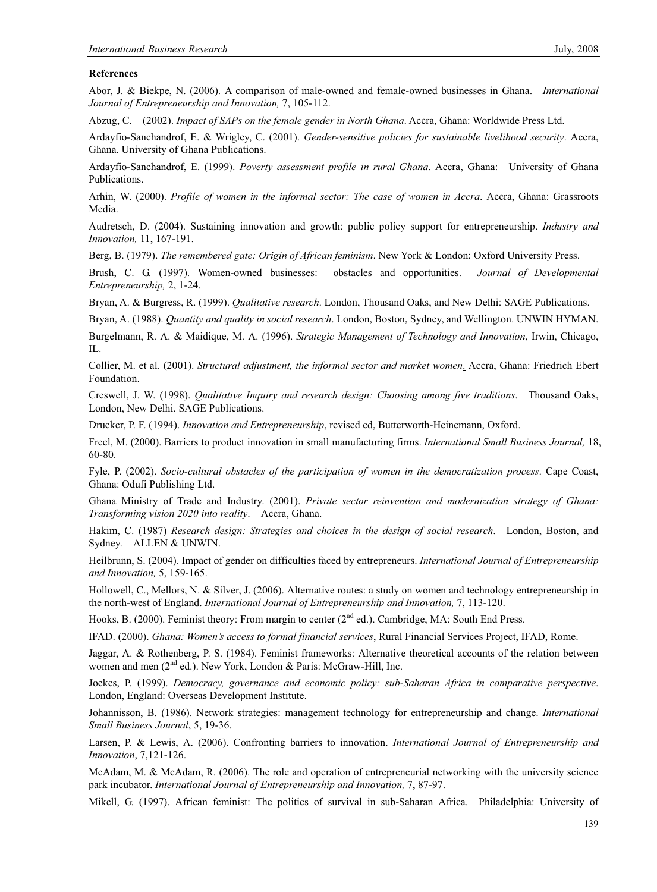#### **References**

Abor, J. & Biekpe, N. (2006). A comparison of male-owned and female-owned businesses in Ghana. *International Journal of Entrepreneurship and Innovation,* 7, 105-112.

Abzug, C. (2002). *Impact of SAPs on the female gender in North Ghana*. Accra, Ghana: Worldwide Press Ltd.

Ardayfio-Sanchandrof, E. & Wrigley, C. (2001). *Gender-sensitive policies for sustainable livelihood security*. Accra, Ghana. University of Ghana Publications.

Ardayfio-Sanchandrof, E. (1999). *Poverty assessment profile in rural Ghana*. Accra, Ghana: University of Ghana Publications.

Arhin, W. (2000). *Profile of women in the informal sector: The case of women in Accra*. Accra, Ghana: Grassroots Media.

Audretsch, D. (2004). Sustaining innovation and growth: public policy support for entrepreneurship. *Industry and Innovation,* 11, 167-191.

Berg, B. (1979). *The remembered gate: Origin of African feminism*. New York & London: Oxford University Press.

Brush, C. G. (1997). Women-owned businesses: obstacles and opportunities. *Journal of Developmental Entrepreneurship,* 2, 1-24.

Bryan, A. & Burgress, R. (1999). *Qualitative research*. London, Thousand Oaks, and New Delhi: SAGE Publications.

Bryan, A. (1988). *Quantity and quality in social research*. London, Boston, Sydney, and Wellington. UNWIN HYMAN.

Burgelmann, R. A. & Maidique, M. A. (1996). *Strategic Management of Technology and Innovation*, Irwin, Chicago, IL.

Collier, M. et al. (2001). *Structural adjustment, the informal sector and market women*. Accra, Ghana: Friedrich Ebert Foundation.

Creswell, J. W. (1998). *Qualitative Inquiry and research design: Choosing among five traditions*. Thousand Oaks, London, New Delhi. SAGE Publications.

Drucker, P. F. (1994). *Innovation and Entrepreneurship*, revised ed, Butterworth-Heinemann, Oxford.

Freel, M. (2000). Barriers to product innovation in small manufacturing firms. *International Small Business Journal,* 18, 60-80.

Fyle, P. (2002). *Socio-cultural obstacles of the participation of women in the democratization process*. Cape Coast, Ghana: Odufi Publishing Ltd.

Ghana Ministry of Trade and Industry. (2001). *Private sector reinvention and modernization strategy of Ghana: Transforming vision 2020 into reality*. Accra, Ghana.

Hakim, C. (1987) *Research design: Strategies and choices in the design of social research*. London, Boston, and Sydney. ALLEN & UNWIN.

Heilbrunn, S. (2004). Impact of gender on difficulties faced by entrepreneurs. *International Journal of Entrepreneurship and Innovation,* 5, 159-165.

Hollowell, C., Mellors, N. & Silver, J. (2006). Alternative routes: a study on women and technology entrepreneurship in the north-west of England. *International Journal of Entrepreneurship and Innovation,* 7, 113-120.

Hooks, B. (2000). Feminist theory: From margin to center (2<sup>nd</sup> ed.). Cambridge, MA: South End Press.

IFAD. (2000). *Ghana: Women's access to formal financial services*, Rural Financial Services Project, IFAD, Rome.

Jaggar, A. & Rothenberg, P. S. (1984). Feminist frameworks: Alternative theoretical accounts of the relation between women and men  $(2^{nd}$  ed.). New York, London & Paris: McGraw-Hill, Inc.

Joekes, P. (1999). *Democracy, governance and economic policy: sub-Saharan Africa in comparative perspective*. London, England: Overseas Development Institute.

Johannisson, B. (1986). Network strategies: management technology for entrepreneurship and change. *International Small Business Journal*, 5, 19-36.

Larsen, P. & Lewis, A. (2006). Confronting barriers to innovation. *International Journal of Entrepreneurship and Innovation*, 7,121-126.

McAdam, M. & McAdam, R. (2006). The role and operation of entrepreneurial networking with the university science park incubator. *International Journal of Entrepreneurship and Innovation,* 7, 87-97.

Mikell, G. (1997). African feminist: The politics of survival in sub-Saharan Africa. Philadelphia: University of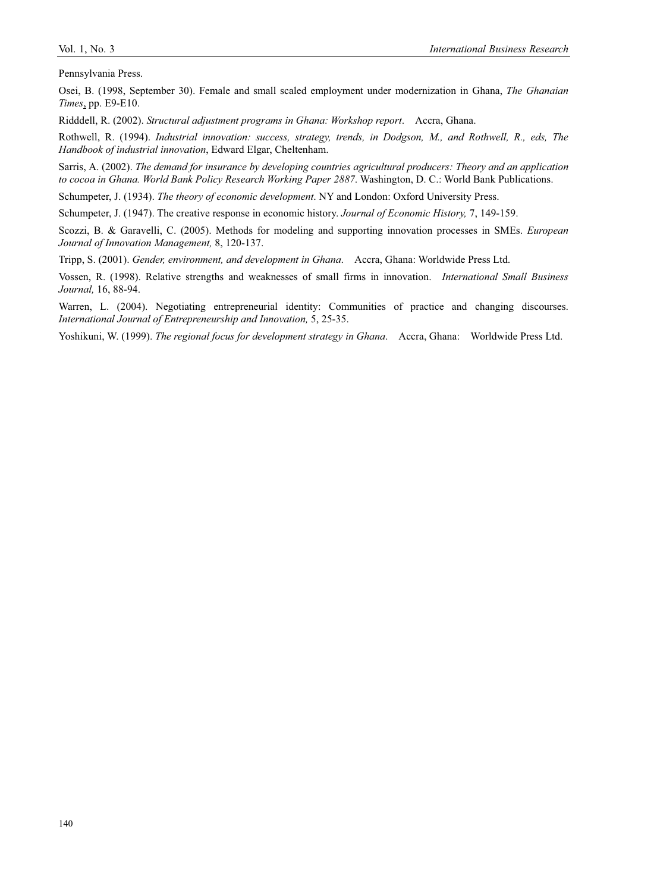Pennsylvania Press.

Osei, B. (1998, September 30). Female and small scaled employment under modernization in Ghana, *The Ghanaian Times*, pp. E9-E10.

Ridddell, R. (2002). *Structural adjustment programs in Ghana: Workshop report*. Accra, Ghana.

Rothwell, R. (1994). *Industrial innovation: success, strategy, trends, in Dodgson, M., and Rothwell, R., eds, The Handbook of industrial innovation*, Edward Elgar, Cheltenham.

Sarris, A. (2002). *The demand for insurance by developing countries agricultural producers: Theory and an application to cocoa in Ghana. World Bank Policy Research Working Paper 2887*. Washington, D. C.: World Bank Publications.

Schumpeter, J. (1934). *The theory of economic development*. NY and London: Oxford University Press.

Schumpeter, J. (1947). The creative response in economic history. *Journal of Economic History,* 7, 149-159.

Scozzi, B. & Garavelli, C. (2005). Methods for modeling and supporting innovation processes in SMEs. *European Journal of Innovation Management,* 8, 120-137.

Tripp, S. (2001). *Gender, environment, and development in Ghana*. Accra, Ghana: Worldwide Press Ltd.

Vossen, R. (1998). Relative strengths and weaknesses of small firms in innovation. *International Small Business Journal,* 16, 88-94.

Warren, L. (2004). Negotiating entrepreneurial identity: Communities of practice and changing discourses. *International Journal of Entrepreneurship and Innovation,* 5, 25-35.

Yoshikuni, W. (1999). *The regional focus for development strategy in Ghana*. Accra, Ghana: Worldwide Press Ltd.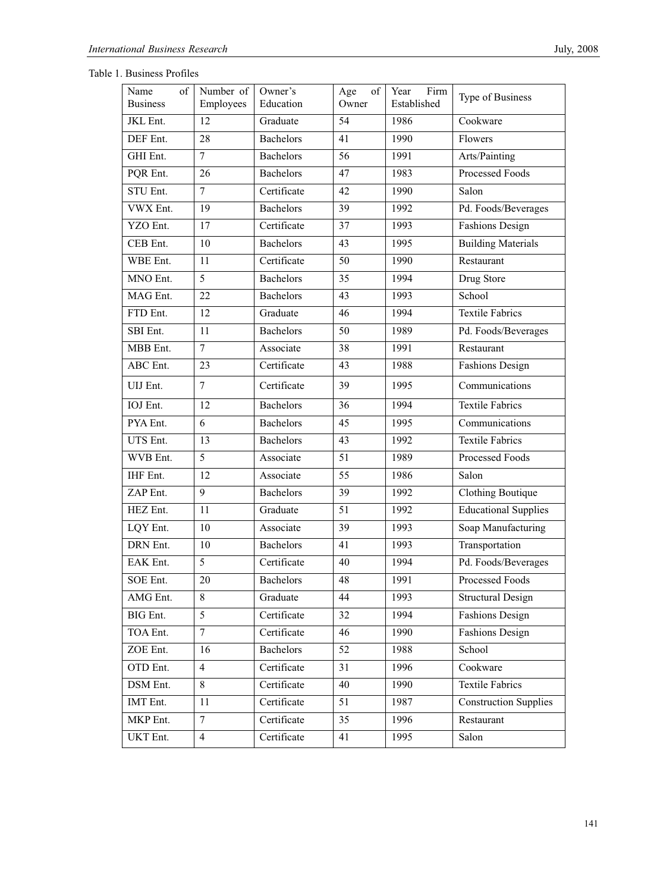| Name<br>of<br><b>Business</b> | Number of<br>Employees | Owner's<br>Education | of<br>Age<br>Owner | Firm<br>Year<br>Established | Type of Business             |
|-------------------------------|------------------------|----------------------|--------------------|-----------------------------|------------------------------|
| JKL Ent.                      | 12                     | Graduate             | 54                 | 1986                        | Cookware                     |
| DEF Ent.                      | 28                     | <b>Bachelors</b>     | 41                 | 1990                        | Flowers                      |
| GHI Ent.                      | $\overline{7}$         | <b>Bachelors</b>     | 56                 | 1991                        | Arts/Painting                |
| PQR Ent.                      | 26                     | Bachelors            | 47                 | 1983                        | Processed Foods              |
| STU Ent.                      | $\overline{7}$         | Certificate          | 42                 | 1990                        | Salon                        |
| VWX Ent.                      | 19                     | <b>Bachelors</b>     | 39                 | 1992                        | Pd. Foods/Beverages          |
| YZO Ent.                      | 17                     | Certificate          | 37                 | 1993                        | <b>Fashions Design</b>       |
| CEB Ent.                      | 10                     | <b>Bachelors</b>     | 43                 | 1995                        | <b>Building Materials</b>    |
| WBE Ent.                      | 11                     | Certificate          | 50                 | 1990                        | Restaurant                   |
| MNO Ent.                      | 5                      | <b>Bachelors</b>     | 35                 | 1994                        | Drug Store                   |
| MAG Ent.                      | 22                     | <b>Bachelors</b>     | 43                 | 1993                        | School                       |
| FTD Ent.                      | 12                     | Graduate             | 46                 | 1994                        | <b>Textile Fabrics</b>       |
| SBI Ent.                      | 11                     | <b>Bachelors</b>     | 50                 | 1989                        | Pd. Foods/Beverages          |
| MBB Ent.                      | $\overline{7}$         | Associate            | 38                 | 1991                        | Restaurant                   |
| ABC Ent.                      | 23                     | Certificate          | 43                 | 1988                        | <b>Fashions Design</b>       |
| UIJ Ent.                      | $\tau$                 | Certificate          | 39                 | 1995                        | Communications               |
| IOJ Ent.                      | 12                     | <b>Bachelors</b>     | 36                 | 1994                        | <b>Textile Fabrics</b>       |
| PYA Ent.                      | 6                      | <b>Bachelors</b>     | 45                 | 1995                        | Communications               |
| UTS Ent.                      | 13                     | <b>Bachelors</b>     | 43                 | 1992                        | <b>Textile Fabrics</b>       |
| WVB Ent.                      | 5                      | Associate            | 51                 | 1989                        | Processed Foods              |
| IHF Ent.                      | 12                     | Associate            | 55                 | 1986                        | Salon                        |
| ZAP Ent.                      | 9                      | <b>Bachelors</b>     | 39                 | 1992                        | <b>Clothing Boutique</b>     |
| HEZ Ent.                      | 11                     | Graduate             | 51                 | 1992                        | <b>Educational Supplies</b>  |
| LQY Ent.                      | 10                     | Associate            | 39                 | 1993                        | Soap Manufacturing           |
| DRN Ent.                      | 10                     | <b>Bachelors</b>     | 41                 | 1993                        | Transportation               |
| EAK Ent.                      | 5                      | Certificate          | 40                 | 1994                        | Pd. Foods/Beverages          |
| SOE Ent.                      | 20                     | Bachelors            | 48                 | 1991                        | Processed Foods              |
| AMG Ent.                      | 8                      | Graduate             | 44                 | 1993                        | <b>Structural Design</b>     |
| BIG Ent.                      | 5                      | Certificate          | 32                 | 1994                        | <b>Fashions Design</b>       |
| TOA Ent.                      | 7                      | Certificate          | 46                 | 1990                        | Fashions Design              |
| ZOE Ent.                      | 16                     | Bachelors            | 52                 | 1988                        | School                       |
| OTD Ent.                      | 4                      | Certificate          | 31                 | 1996                        | Cookware                     |
| DSM Ent.                      | 8                      | Certificate          | 40                 | 1990                        | <b>Textile Fabrics</b>       |
| IMT Ent.                      | 11                     | Certificate          | 51                 | 1987                        | <b>Construction Supplies</b> |
| MKP Ent.                      | $\tau$                 | Certificate          | 35                 | 1996                        | Restaurant                   |
| UKT Ent.                      | $\overline{4}$         | Certificate          | 41                 | 1995                        | Salon                        |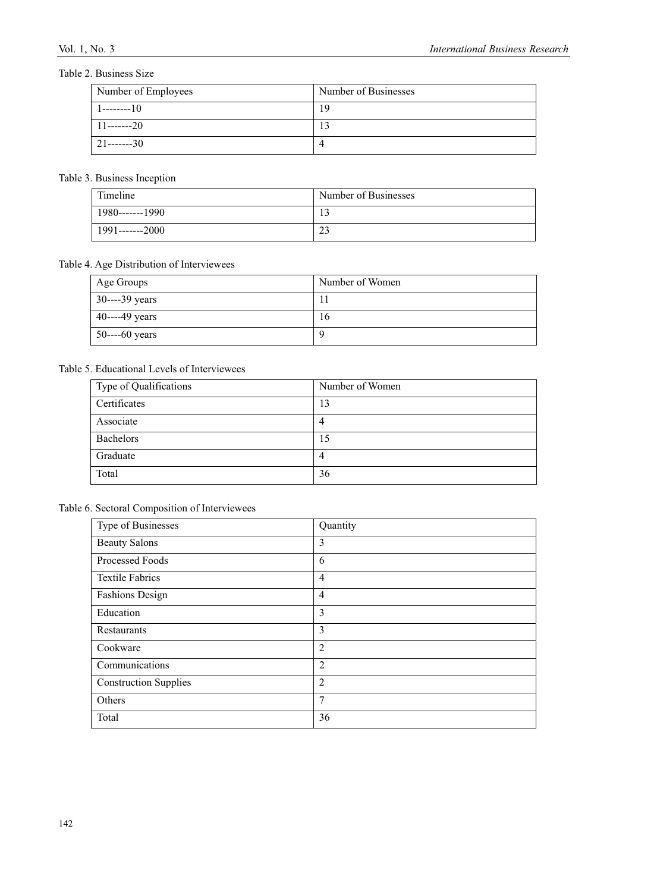# Table 2. Business Size

| Number of Employees | Number of Businesses |
|---------------------|----------------------|
| l --------10        | 19                   |
| $11$ -------20      | 13                   |
| $21$ -------30      |                      |

## Table 3. Business Inception

| Timeline        | Number of Businesses |
|-----------------|----------------------|
| 1980-------1990 |                      |
| 1991-------2000 | $\sim$<br>ر بے       |

# Table 4. Age Distribution of Interviewees

| Age Groups        | Number of Women |
|-------------------|-----------------|
| 30----39 years    |                 |
| 40----49 years    | 16              |
| $50$ ----60 years |                 |

# Table 5. Educational Levels of Interviewees

| Type of Qualifications | Number of Women |
|------------------------|-----------------|
| Certificates           | 13              |
| Associate              | $\overline{4}$  |
| Bachelors              | 15              |
| Graduate               | $\overline{4}$  |
| Total                  | 36              |

# Table 6. Sectoral Composition of Interviewees

| Type of Businesses           | Quantity       |
|------------------------------|----------------|
| <b>Beauty Salons</b>         | 3              |
| Processed Foods              | 6              |
| <b>Textile Fabrics</b>       | $\overline{4}$ |
| <b>Fashions Design</b>       | 4              |
| Education                    | 3              |
| Restaurants                  | 3              |
| Cookware                     | $\overline{2}$ |
| Communications               | $\overline{2}$ |
| <b>Construction Supplies</b> | $\overline{2}$ |
| Others                       | 7              |
| Total                        | 36             |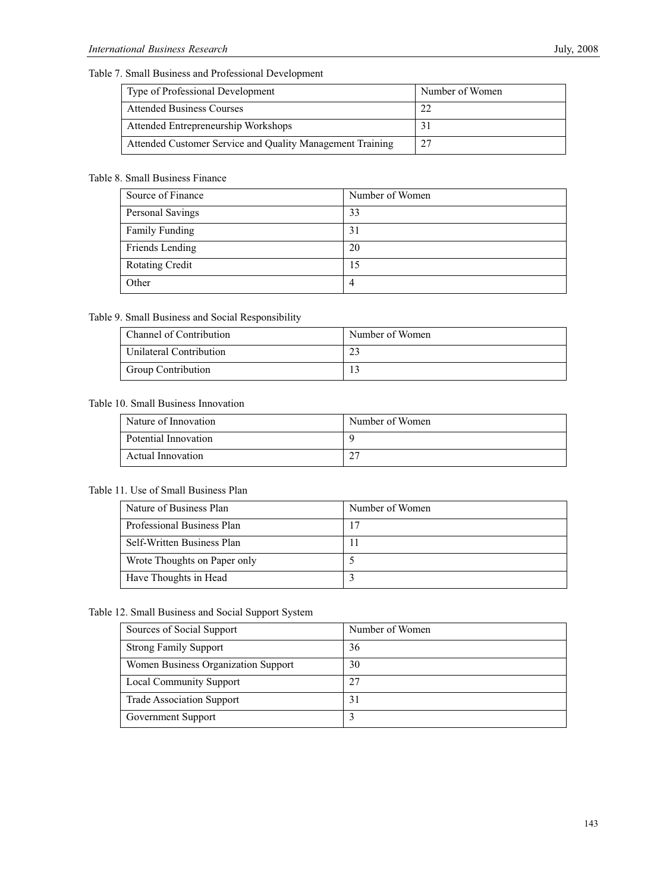# Table 7. Small Business and Professional Development

| Type of Professional Development                          | Number of Women |
|-----------------------------------------------------------|-----------------|
| <b>Attended Business Courses</b>                          | າາ              |
| Attended Entrepreneurship Workshops                       |                 |
| Attended Customer Service and Quality Management Training | 27              |

# Table 8. Small Business Finance

| Source of Finance      | Number of Women |
|------------------------|-----------------|
| Personal Savings       | 33              |
| <b>Family Funding</b>  | 31              |
| Friends Lending        | 20              |
| <b>Rotating Credit</b> | 15              |
| Other                  | 4               |

# Table 9. Small Business and Social Responsibility

| Channel of Contribution   | Number of Women |
|---------------------------|-----------------|
| Unilateral Contribution   |                 |
| <b>Group Contribution</b> |                 |

# Table 10. Small Business Innovation

| Nature of Innovation | Number of Women |
|----------------------|-----------------|
| Potential Innovation |                 |
| Actual Innovation    | $\sim$          |

# Table 11. Use of Small Business Plan

| Nature of Business Plan      | Number of Women |
|------------------------------|-----------------|
| Professional Business Plan   |                 |
| Self-Written Business Plan   |                 |
| Wrote Thoughts on Paper only |                 |
| Have Thoughts in Head        |                 |

## Table 12. Small Business and Social Support System

| Sources of Social Support           | Number of Women |
|-------------------------------------|-----------------|
| <b>Strong Family Support</b>        | 36              |
| Women Business Organization Support | 30              |
| <b>Local Community Support</b>      | 27              |
| <b>Trade Association Support</b>    | 31              |
| Government Support                  |                 |